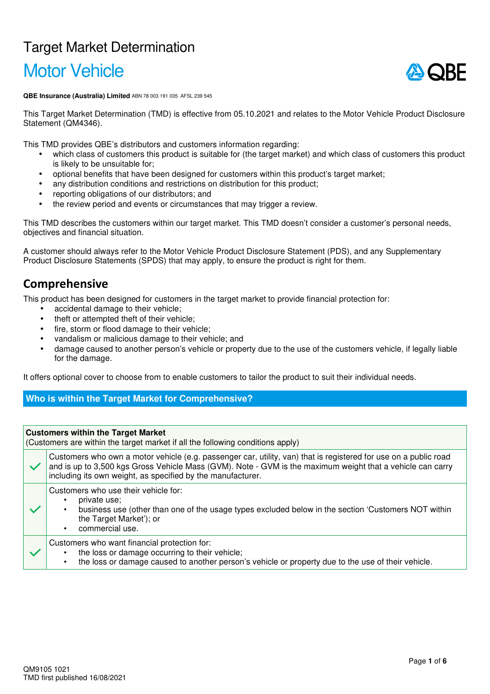# Target Market Determination

# Motor Vehicle



**QBE Insurance (Australia) Limited** ABN 78 003 191 035 AFSL 239 545

This Target Market Determination (TMD) is effective from 05.10.2021 and relates to the Motor Vehicle Product Disclosure Statement (QM4346).

This TMD provides QBE's distributors and customers information regarding:

- which class of customers this product is suitable for (the target market) and which class of customers this product is likely to be unsuitable for;
- optional benefits that have been designed for customers within this product's target market;
- any distribution conditions and restrictions on distribution for this product;
- reporting obligations of our distributors; and
- the review period and events or circumstances that may trigger a review.

This TMD describes the customers within our target market. This TMD doesn't consider a customer's personal needs, objectives and financial situation.

A customer should always refer to the Motor Vehicle Product Disclosure Statement (PDS), and any Supplementary Product Disclosure Statements (SPDS) that may apply, to ensure the product is right for them.

# **Comprehensive**

This product has been designed for customers in the target market to provide financial protection for:

- accidental damage to their vehicle;
- theft or attempted theft of their vehicle;
- fire, storm or flood damage to their vehicle;
- vandalism or malicious damage to their vehicle; and
- damage caused to another person's vehicle or property due to the use of the customers vehicle, if legally liable for the damage.

It offers optional cover to choose from to enable customers to tailor the product to suit their individual needs.

## **Who is within the Target Market for Comprehensive?**

|              | <b>Customers within the Target Market</b><br>(Customers are within the target market if all the following conditions apply)                                                                                                                                                                   |  |  |  |
|--------------|-----------------------------------------------------------------------------------------------------------------------------------------------------------------------------------------------------------------------------------------------------------------------------------------------|--|--|--|
| $\checkmark$ | Customers who own a motor vehicle (e.g. passenger car, utility, van) that is registered for use on a public road<br>and is up to 3,500 kgs Gross Vehicle Mass (GVM). Note - GVM is the maximum weight that a vehicle can carry<br>including its own weight, as specified by the manufacturer. |  |  |  |
|              | Customers who use their vehicle for:<br>private use:<br>business use (other than one of the usage types excluded below in the section 'Customers NOT within<br>$\bullet$<br>the Target Market'); or<br>commercial use.<br>$\bullet$                                                           |  |  |  |
|              | Customers who want financial protection for:<br>the loss or damage occurring to their vehicle;<br>the loss or damage caused to another person's vehicle or property due to the use of their vehicle.                                                                                          |  |  |  |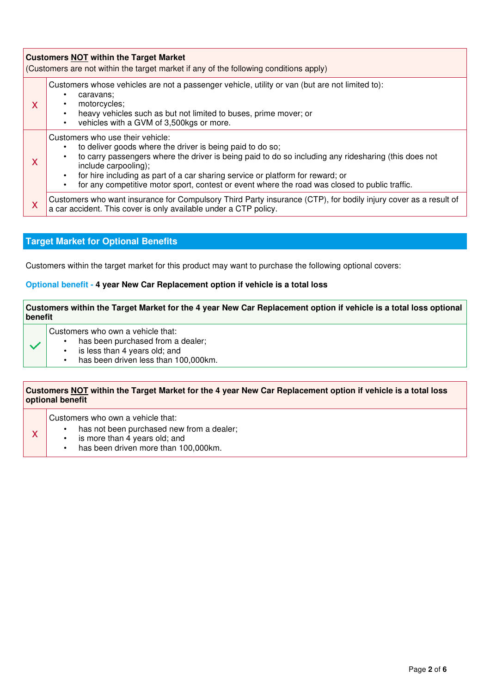|                                                               | <b>Customers NOT within the Target Market</b><br>(Customers are not within the target market if any of the following conditions apply) |                                                                                                                                                                                                                                                                                                                                                                                                                                                          |  |  |  |
|---------------------------------------------------------------|----------------------------------------------------------------------------------------------------------------------------------------|----------------------------------------------------------------------------------------------------------------------------------------------------------------------------------------------------------------------------------------------------------------------------------------------------------------------------------------------------------------------------------------------------------------------------------------------------------|--|--|--|
| caravans:<br>٠<br>motorcycles;<br>X<br>$\bullet$<br>$\bullet$ |                                                                                                                                        | Customers whose vehicles are not a passenger vehicle, utility or van (but are not limited to):<br>heavy vehicles such as but not limited to buses, prime mover; or<br>vehicles with a GVM of 3,500kgs or more.                                                                                                                                                                                                                                           |  |  |  |
|                                                               | X                                                                                                                                      | Customers who use their vehicle:<br>to deliver goods where the driver is being paid to do so;<br>$\bullet$<br>to carry passengers where the driver is being paid to do so including any ridesharing (this does not<br>$\bullet$<br>include carpooling);<br>for hire including as part of a car sharing service or platform for reward; or<br>$\bullet$<br>for any competitive motor sport, contest or event where the road was closed to public traffic. |  |  |  |
|                                                               | X                                                                                                                                      | Customers who want insurance for Compulsory Third Party insurance (CTP), for bodily injury cover as a result of<br>a car accident. This cover is only available under a CTP policy.                                                                                                                                                                                                                                                                      |  |  |  |

## **Target Market for Optional Benefits**

Customers within the target market for this product may want to purchase the following optional covers:

#### **Optional benefit - 4 year New Car Replacement option if vehicle is a total loss**

#### **Customers within the Target Market for the 4 year New Car Replacement option if vehicle is a total loss optional benefit**

Customers who own a vehicle that:

- has been purchased from a dealer;
- is less than 4 years old; and<br>• has been driven less than 10
- has been driven less than 100,000km.

#### **Customers NOT within the Target Market for the 4 year New Car Replacement option if vehicle is a total loss optional benefit**

Customers who own a vehicle that:

x

 $\ddot{\phantom{1}}$ 

- has not been purchased new from a dealer;
- is more than  $\overline{4}$  years old; and
- has been driven more than 100,000km.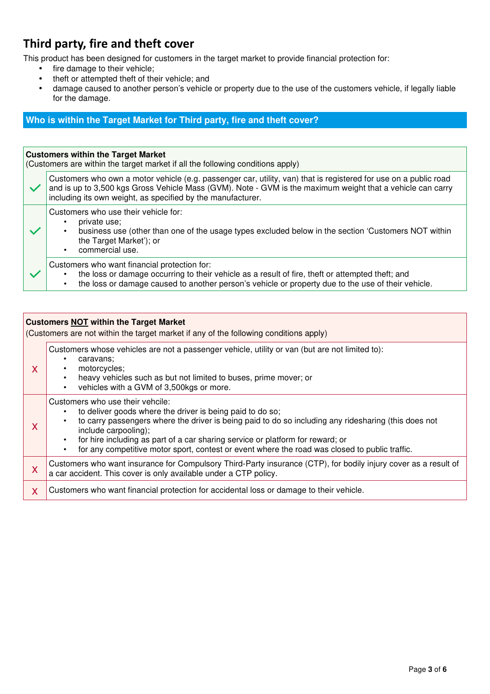# **Third party, fire and theft cover**

This product has been designed for customers in the target market to provide financial protection for:

- fire damage to their vehicle;
- theft or attempted theft of their vehicle; and
- damage caused to another person's vehicle or property due to the use of the customers vehicle, if legally liable for the damage.

## **Who is within the Target Market for Third party, fire and theft cover?**

#### **Customers within the Target Market**

(Customers are within the target market if all the following conditions apply)

| $\checkmark$ | Customers who own a motor vehicle (e.g. passenger car, utility, van) that is registered for use on a public road<br>and is up to 3,500 kgs Gross Vehicle Mass (GVM). Note - GVM is the maximum weight that a vehicle can carry<br>including its own weight, as specified by the manufacturer. |
|--------------|-----------------------------------------------------------------------------------------------------------------------------------------------------------------------------------------------------------------------------------------------------------------------------------------------|
|              | Customers who use their vehicle for:<br>private use:<br>business use (other than one of the usage types excluded below in the section 'Customers NOT within<br>the Target Market'); or<br>commercial use.                                                                                     |
|              | Customers who want financial protection for:<br>the loss or damage occurring to their vehicle as a result of fire, theft or attempted theft; and<br>the loss or damage caused to another person's vehicle or property due to the use of their vehicle.<br>٠                                   |

| <b>Customers NOT within the Target Market</b><br>(Customers are not within the target market if any of the following conditions apply) |                                                                                                                                                                                                                                                                                                                                                                                                                                                          |  |  |  |
|----------------------------------------------------------------------------------------------------------------------------------------|----------------------------------------------------------------------------------------------------------------------------------------------------------------------------------------------------------------------------------------------------------------------------------------------------------------------------------------------------------------------------------------------------------------------------------------------------------|--|--|--|
| X                                                                                                                                      | Customers whose vehicles are not a passenger vehicle, utility or van (but are not limited to):<br>caravans;<br>$\bullet$<br>motorcycles;<br>$\bullet$<br>heavy vehicles such as but not limited to buses, prime mover; or<br>$\bullet$<br>vehicles with a GVM of 3,500kgs or more.<br>$\bullet$                                                                                                                                                          |  |  |  |
| X                                                                                                                                      | Customers who use their vehcile:<br>to deliver goods where the driver is being paid to do so;<br>$\bullet$<br>to carry passengers where the driver is being paid to do so including any ridesharing (this does not<br>include carpooling);<br>for hire including as part of a car sharing service or platform for reward; or<br>$\bullet$<br>for any competitive motor sport, contest or event where the road was closed to public traffic.<br>$\bullet$ |  |  |  |
| X                                                                                                                                      | Customers who want insurance for Compulsory Third-Party insurance (CTP), for bodily injury cover as a result of<br>a car accident. This cover is only available under a CTP policy.                                                                                                                                                                                                                                                                      |  |  |  |
| X                                                                                                                                      | Customers who want financial protection for accidental loss or damage to their vehicle.                                                                                                                                                                                                                                                                                                                                                                  |  |  |  |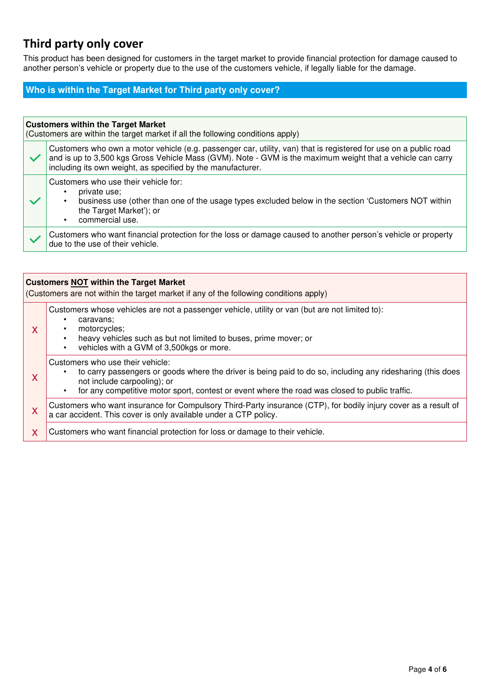# **Third party only cover**

This product has been designed for customers in the target market to provide financial protection for damage caused to another person's vehicle or property due to the use of the customers vehicle, if legally liable for the damage.

## **Who is within the Target Market for Third party only cover?**

# **Customers within the Target Market**  (Customers are within the target market if all the following conditions apply) Customers who own a motor vehicle (e.g. passenger car, utility, van) that is registered for use on a public road and is up to 3,500 kgs Gross Vehicle Mass (GVM). Note - GVM is the maximum weight that a vehicle can carry including its own weight, as specified by the manufacturer. Customers who use their vehicle for: • private use; • business use (other than one of the usage types excluded below in the section 'Customers NOT within the Target Market'); or commercial use. Customers who want financial protection for the loss or damage caused to another person's vehicle or property due to the use of their vehicle.

| <b>Customers NOT within the Target Market</b><br>(Customers are not within the target market if any of the following conditions apply) |                                                                                                                                                                                                                                                                                 |  |  |  |
|----------------------------------------------------------------------------------------------------------------------------------------|---------------------------------------------------------------------------------------------------------------------------------------------------------------------------------------------------------------------------------------------------------------------------------|--|--|--|
| X                                                                                                                                      | Customers whose vehicles are not a passenger vehicle, utility or van (but are not limited to):<br>caravans;<br>٠<br>motorcycles;<br>heavy vehicles such as but not limited to buses, prime mover; or<br>vehicles with a GVM of 3,500kgs or more.                                |  |  |  |
| X                                                                                                                                      | Customers who use their vehicle:<br>to carry passengers or goods where the driver is being paid to do so, including any ridesharing (this does<br>not include carpooling); or<br>for any competitive motor sport, contest or event where the road was closed to public traffic. |  |  |  |
| X                                                                                                                                      | Customers who want insurance for Compulsory Third-Party insurance (CTP), for bodily injury cover as a result of<br>a car accident. This cover is only available under a CTP policy.                                                                                             |  |  |  |
| X                                                                                                                                      | Customers who want financial protection for loss or damage to their vehicle.                                                                                                                                                                                                    |  |  |  |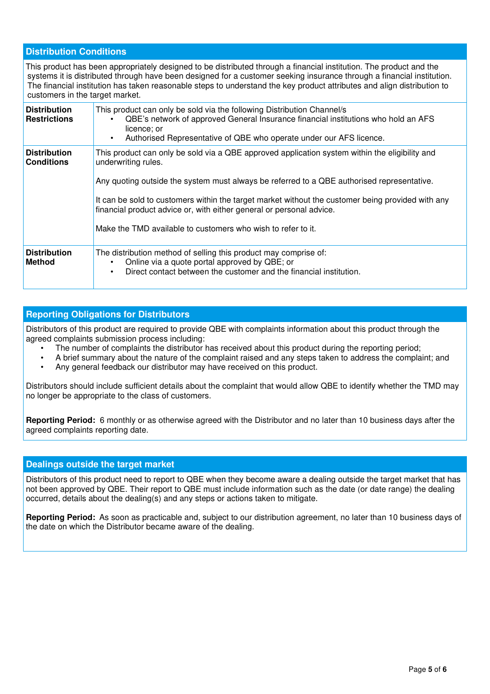#### **Distribution Conditions**

| This product has been appropriately designed to be distributed through a financial institution. The product and the<br>systems it is distributed through have been designed for a customer seeking insurance through a financial institution.<br>The financial institution has taken reasonable steps to understand the key product attributes and align distribution to<br>customers in the target market. |                                                                                                                                                                                                                                                                                                                                                                                                                                                                  |  |  |  |  |
|-------------------------------------------------------------------------------------------------------------------------------------------------------------------------------------------------------------------------------------------------------------------------------------------------------------------------------------------------------------------------------------------------------------|------------------------------------------------------------------------------------------------------------------------------------------------------------------------------------------------------------------------------------------------------------------------------------------------------------------------------------------------------------------------------------------------------------------------------------------------------------------|--|--|--|--|
| <b>Distribution</b><br><b>Restrictions</b>                                                                                                                                                                                                                                                                                                                                                                  | This product can only be sold via the following Distribution Channel/s<br>QBE's network of approved General Insurance financial institutions who hold an AFS<br>licence; or<br>Authorised Representative of QBE who operate under our AFS licence.                                                                                                                                                                                                               |  |  |  |  |
| <b>Distribution</b><br><b>Conditions</b>                                                                                                                                                                                                                                                                                                                                                                    | This product can only be sold via a QBE approved application system within the eligibility and<br>underwriting rules.<br>Any quoting outside the system must always be referred to a QBE authorised representative.<br>It can be sold to customers within the target market without the customer being provided with any<br>financial product advice or, with either general or personal advice.<br>Make the TMD available to customers who wish to refer to it. |  |  |  |  |
| <b>Distribution</b><br><b>Method</b>                                                                                                                                                                                                                                                                                                                                                                        | The distribution method of selling this product may comprise of:<br>Online via a quote portal approved by QBE; or<br>Direct contact between the customer and the financial institution.                                                                                                                                                                                                                                                                          |  |  |  |  |

## **Reporting Obligations for Distributors**

Distributors of this product are required to provide QBE with complaints information about this product through the agreed complaints submission process including:

- The number of complaints the distributor has received about this product during the reporting period;
- A brief summary about the nature of the complaint raised and any steps taken to address the complaint; and
- Any general feedback our distributor may have received on this product.

Distributors should include sufficient details about the complaint that would allow QBE to identify whether the TMD may no longer be appropriate to the class of customers.

**Reporting Period:** 6 monthly or as otherwise agreed with the Distributor and no later than 10 business days after the agreed complaints reporting date.

#### **Dealings outside the target market**

Distributors of this product need to report to QBE when they become aware a dealing outside the target market that has not been approved by QBE. Their report to QBE must include information such as the date (or date range) the dealing occurred, details about the dealing(s) and any steps or actions taken to mitigate.

**Reporting Period:** As soon as practicable and, subject to our distribution agreement, no later than 10 business days of the date on which the Distributor became aware of the dealing.